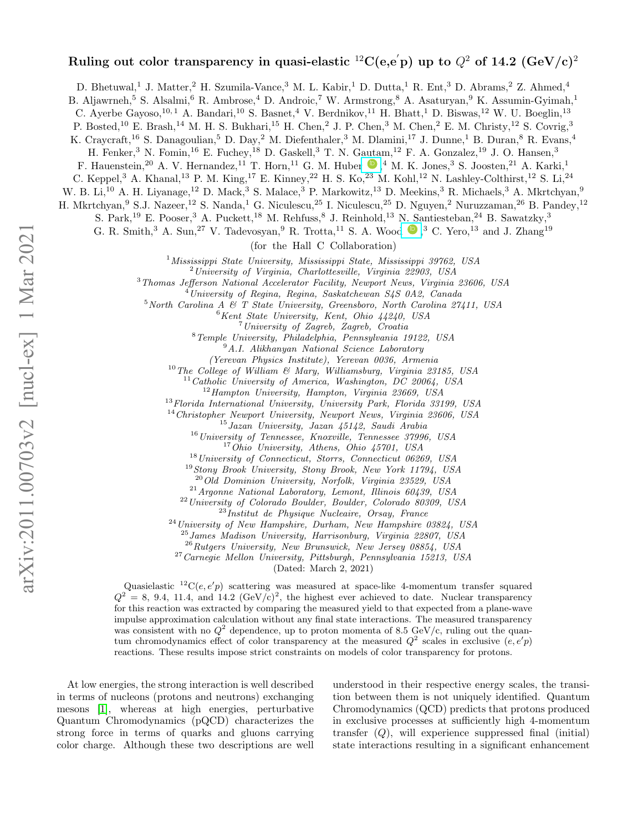## Ruling out color transparency in quasi-elastic  $^{12}{\rm C}({\rm e},{\rm e}^{'}{\rm p})$  up to  $Q^2$  of 14.2  $({\rm GeV/c})^2$

D. Bhetuwal,<sup>1</sup> J. Matter,<sup>2</sup> H. Szumila-Vance,<sup>3</sup> M. L. Kabir,<sup>1</sup> D. Dutta,<sup>1</sup> R. Ent,<sup>3</sup> D. Abrams,<sup>2</sup> Z. Ahmed,<sup>4</sup>

B. Aljawrneh,<sup>5</sup> S. Alsalmi,<sup>6</sup> R. Ambrose,<sup>4</sup> D. Androic,<sup>7</sup> W. Armstrong,<sup>8</sup> A. Asaturyan,<sup>9</sup> K. Assumin-Gyimah,<sup>1</sup>

C. Ayerbe Gayoso,<sup>10, 1</sup> A. Bandari,<sup>10</sup> S. Basnet,<sup>4</sup> V. Berdnikov,<sup>11</sup> H. Bhatt,<sup>1</sup> D. Biswas,<sup>12</sup> W. U. Boeglin,<sup>13</sup>

P. Bosted,<sup>10</sup> E. Brash,<sup>14</sup> M. H. S. Bukhari,<sup>15</sup> H. Chen,<sup>2</sup> J. P. Chen,<sup>3</sup> M. Chen,<sup>2</sup> E. M. Christy,<sup>12</sup> S. Covrig,<sup>3</sup>

K. Craycraft,<sup>16</sup> S. Danagoulian,<sup>5</sup> D. Day,<sup>2</sup> M. Diefenthaler,<sup>3</sup> M. Dlamini,<sup>17</sup> J. Dunne,<sup>1</sup> B. Duran,<sup>8</sup> R. Evans,<sup>4</sup>

H. Fenker,<sup>3</sup> N. Fomin,<sup>16</sup> E. Fuchey,<sup>18</sup> D. Gaskell,<sup>3</sup> T. N. Gautam,<sup>12</sup> F. A. Gonzalez,<sup>19</sup> J. O. Hansen,<sup>3</sup>

F. Hauenstein,<sup>20</sup> A. V. Hernandez,<sup>11</sup> T. Horn,<sup>11</sup> G. M. Huber  $\bigcirc$ ,<sup>4</sup> M. K. Jones,<sup>3</sup> S. Joosten,<sup>21</sup> A. Karki,<sup>1</sup>

C. Keppel,<sup>3</sup> A. Khanal,<sup>13</sup> P. M. King,<sup>17</sup> E. Kinney,<sup>22</sup> H. S. Ko,<sup>23</sup> M. Kohl,<sup>12</sup> N. Lashley-Colthirst,<sup>12</sup> S. Li,<sup>24</sup>

W. B. Li,<sup>10</sup> A. H. Liyanage,<sup>12</sup> D. Mack,<sup>3</sup> S. Malace,<sup>3</sup> P. Markowitz,<sup>13</sup> D. Meekins,<sup>3</sup> R. Michaels,<sup>3</sup> A. Mkrtchyan,<sup>9</sup>

H. Mkrtchyan,<sup>9</sup> S.J. Nazeer,<sup>12</sup> S. Nanda,<sup>1</sup> G. Niculescu,<sup>25</sup> I. Niculescu,<sup>25</sup> D. Nguyen,<sup>2</sup> Nuruzzaman,<sup>26</sup> B. Pandey,<sup>12</sup>

S. Park,<sup>19</sup> E. Pooser,<sup>3</sup> A. Puckett,<sup>18</sup> M. Rehfuss,<sup>8</sup> J. Reinhold,<sup>13</sup> N. Santiesteban,<sup>24</sup> B. Sawatzky,<sup>3</sup>

G. R. Smith,<sup>3</sup> A. Sun,<sup>27</sup> V. Tadevosyan,<sup>9</sup> R. Trotta,<sup>11</sup> S. A. Wood  $\bullet$ ,<sup>3</sup> C. Yero,<sup>13</sup> and J. Zhang<sup>19</sup>

(for the Hall C Collaboration)

<sup>1</sup>Mississippi State University, Mississippi State, Mississippi 39762, USA

 $^{2}$ University of Virginia, Charlottesville, Virginia 22903, USA

<sup>3</sup>Thomas Jefferson National Accelerator Facility, Newport News, Virginia 23606, USA

 $4$ University of Regina, Regina, Saskatchewan S4S 0A2, Canada

 $5$ North Carolina A & T State University, Greensboro, North Carolina 27411, USA

<sup>6</sup>Kent State University, Kent, Ohio 44240, USA

<sup>7</sup>University of Zagreb, Zagreb, Croatia

<sup>8</sup>Temple University, Philadelphia, Pennsylvania 19122, USA

<sup>9</sup>A.I. Alikhanyan National Science Laboratory

(Yerevan Physics Institute), Yerevan 0036, Armenia

 $10$  The College of William & Mary, Williamsburg, Virginia 23185, USA

Catholic University of America, Washington, DC 20064, USA

 $12$ Hampton University, Hampton, Virginia 23669, USA

<sup>13</sup>Florida International University, University Park, Florida 33199, USA

<sup>14</sup> Christopher Newport University, Newport News, Virginia 23606, USA

<sup>15</sup>Jazan University, Jazan 45142, Saudi Arabia

<sup>16</sup> University of Tennessee, Knoxville, Tennessee 37996, USA

<sup>17</sup>Ohio University, Athens, Ohio 45701, USA

<sup>18</sup>University of Connecticut, Storrs, Connecticut 06269, USA

<sup>19</sup>Stony Brook University, Stony Brook, New York 11794, USA

<sup>20</sup>Old Dominion University, Norfolk, Virginia 23529, USA

 $^{21}$ Argonne National Laboratory, Lemont, Illinois 60439, USA

<sup>22</sup>University of Colorado Boulder, Boulder, Colorado 80309, USA

<sup>23</sup>Institut de Physique Nucleaire, Orsay, France

 $^{24}$ University of New Hampshire, Durham, New Hampshire 03824, USA

 $^{25}$ James Madison University, Harrisonburg, Virginia 22807, USA

 $^{26}Rutgers$  University, New Brunswick, New Jersey 08854, USA

<sup>27</sup>Carnegie Mellon University, Pittsburgh, Pennsylvania 15213, USA

(Dated: March 2, 2021)

Quasielastic <sup>12</sup>C(e, e'p) scattering was measured at space-like 4-momentum transfer squared  $Q^2 = 8, 9.4, 11.4,$  and 14.2  $(\text{GeV}/c)^2$ , the highest ever achieved to date. Nuclear transparency for this reaction was extracted by comparing the measured yield to that expected from a plane-wave impulse approximation calculation without any final state interactions. The measured transparency was consistent with no  $Q^2$  dependence, up to proton momenta of 8.5 GeV/c, ruling out the quantum chromodynamics effect of color transparency at the measured  $Q^2$  scales in exclusive  $(e, e'p)$ reactions. These results impose strict constraints on models of color transparency for protons.

At low energies, the strong interaction is well described in terms of nucleons (protons and neutrons) exchanging mesons [\[1\]](#page-5-0), whereas at high energies, perturbative Quantum Chromodynamics (pQCD) characterizes the strong force in terms of quarks and gluons carrying color charge. Although these two descriptions are well

understood in their respective energy scales, the transition between them is not uniquely identified. Quantum Chromodynamics (QCD) predicts that protons produced in exclusive processes at sufficiently high 4-momentum transfer  $(Q)$ , will experience suppressed final (initial) state interactions resulting in a significant enhancement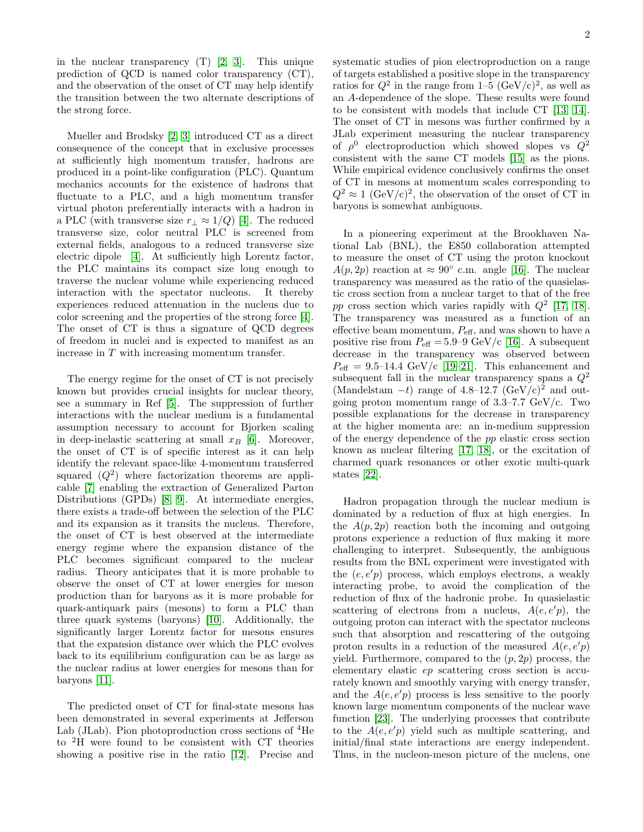in the nuclear transparency (T) [\[2,](#page-5-1) [3\]](#page-5-2). This unique prediction of QCD is named color transparency (CT), and the observation of the onset of CT may help identify the transition between the two alternate descriptions of the strong force.

Mueller and Brodsky [\[2,](#page-5-1) [3\]](#page-5-2) introduced CT as a direct consequence of the concept that in exclusive processes at sufficiently high momentum transfer, hadrons are produced in a point-like configuration (PLC). Quantum mechanics accounts for the existence of hadrons that fluctuate to a PLC, and a high momentum transfer virtual photon preferentially interacts with a hadron in a PLC (with transverse size  $r_{\perp} \approx 1/Q$ ) [\[4\]](#page-5-3). The reduced transverse size, color neutral PLC is screened from external fields, analogous to a reduced transverse size electric dipole [\[4\]](#page-5-3). At sufficiently high Lorentz factor, the PLC maintains its compact size long enough to traverse the nuclear volume while experiencing reduced interaction with the spectator nucleons. It thereby experiences reduced attenuation in the nucleus due to color screening and the properties of the strong force [\[4\]](#page-5-3). The onset of CT is thus a signature of QCD degrees of freedom in nuclei and is expected to manifest as an increase in T with increasing momentum transfer.

The energy regime for the onset of CT is not precisely known but provides crucial insights for nuclear theory, see a summary in Ref [\[5\]](#page-5-4). The suppression of further interactions with the nuclear medium is a fundamental assumption necessary to account for Bjorken scaling in deep-inelastic scattering at small  $x_B$  [\[6\]](#page-5-5). Moreover, the onset of CT is of specific interest as it can help identify the relevant space-like 4-momentum transferred squared  $(Q^2)$  where factorization theorems are applicable [\[7\]](#page-5-6) enabling the extraction of Generalized Parton Distributions (GPDs) [\[8,](#page-5-7) [9\]](#page-5-8). At intermediate energies, there exists a trade-off between the selection of the PLC and its expansion as it transits the nucleus. Therefore, the onset of CT is best observed at the intermediate energy regime where the expansion distance of the PLC becomes significant compared to the nuclear radius. Theory anticipates that it is more probable to observe the onset of CT at lower energies for meson production than for baryons as it is more probable for quark-antiquark pairs (mesons) to form a PLC than three quark systems (baryons) [\[10\]](#page-5-9). Additionally, the significantly larger Lorentz factor for mesons ensures that the expansion distance over which the PLC evolves back to its equilibrium configuration can be as large as the nuclear radius at lower energies for mesons than for baryons [\[11\]](#page-5-10).

The predicted onset of CT for final-state mesons has been demonstrated in several experiments at Jefferson Lab (JLab). Pion photoproduction cross sections of <sup>4</sup>He to <sup>2</sup>H were found to be consistent with CT theories showing a positive rise in the ratio [\[12\]](#page-5-11). Precise and

systematic studies of pion electroproduction on a range of targets established a positive slope in the transparency ratios for  $Q^2$  in the range from 1–5 (GeV/c)<sup>2</sup>, as well as an A-dependence of the slope. These results were found to be consistent with models that include CT [\[13,](#page-5-12) [14\]](#page-5-13). The onset of CT in mesons was further confirmed by a JLab experiment measuring the nuclear transparency of  $\rho^0$  electroproduction which showed slopes vs  $Q^2$ consistent with the same CT models [\[15\]](#page-5-14) as the pions. While empirical evidence conclusively confirms the onset of CT in mesons at momentum scales corresponding to  $Q^2 \approx 1 \; (\text{GeV/c})^2$ , the observation of the onset of CT in baryons is somewhat ambiguous.

In a pioneering experiment at the Brookhaven National Lab (BNL), the E850 collaboration attempted to measure the onset of CT using the proton knockout  $A(p, 2p)$  reaction at  $\approx 90^{\circ}$  c.m. angle [\[16\]](#page-5-15). The nuclear transparency was measured as the ratio of the quasielastic cross section from a nuclear target to that of the free pp cross section which varies rapidly with  $Q^2$  [\[17,](#page-5-16) [18\]](#page-5-17). The transparency was measured as a function of an effective beam momentum,  $P_{\text{eff}}$ , and was shown to have a positive rise from  $P_{\text{eff}} = 5.9{\text{--}}9 \text{ GeV/c}$  [\[16\]](#page-5-15). A subsequent decrease in the transparency was observed between  $P_{\text{eff}} = 9.5{\text -}14.4 \text{ GeV/c}$  [\[19–](#page-5-18)[21\]](#page-5-19). This enhancement and subsequent fall in the nuclear transparency spans a  $Q^2$ (Mandelstam  $-t$ ) range of 4.8–12.7 (GeV/c)<sup>2</sup> and outgoing proton momentum range of  $3.3-7.7 \text{ GeV/c}$ . Two possible explanations for the decrease in transparency at the higher momenta are: an in-medium suppression of the energy dependence of the pp elastic cross section known as nuclear filtering [\[17,](#page-5-16) [18\]](#page-5-17), or the excitation of charmed quark resonances or other exotic multi-quark states [\[22\]](#page-5-20).

Hadron propagation through the nuclear medium is dominated by a reduction of flux at high energies. In the  $A(p, 2p)$  reaction both the incoming and outgoing protons experience a reduction of flux making it more challenging to interpret. Subsequently, the ambiguous results from the BNL experiment were investigated with the  $(e, e'p)$  process, which employs electrons, a weakly interacting probe, to avoid the complication of the reduction of flux of the hadronic probe. In quasielastic scattering of electrons from a nucleus,  $A(e, e'p)$ , the outgoing proton can interact with the spectator nucleons such that absorption and rescattering of the outgoing proton results in a reduction of the measured  $A(e, e'p)$ yield. Furthermore, compared to the  $(p, 2p)$  process, the elementary elastic ep scattering cross section is accurately known and smoothly varying with energy transfer, and the  $A(e, e'p)$  process is less sensitive to the poorly known large momentum components of the nuclear wave function [\[23\]](#page-5-21). The underlying processes that contribute to the  $A(e, e'p)$  yield such as multiple scattering, and initial/final state interactions are energy independent. Thus, in the nucleon-meson picture of the nucleus, one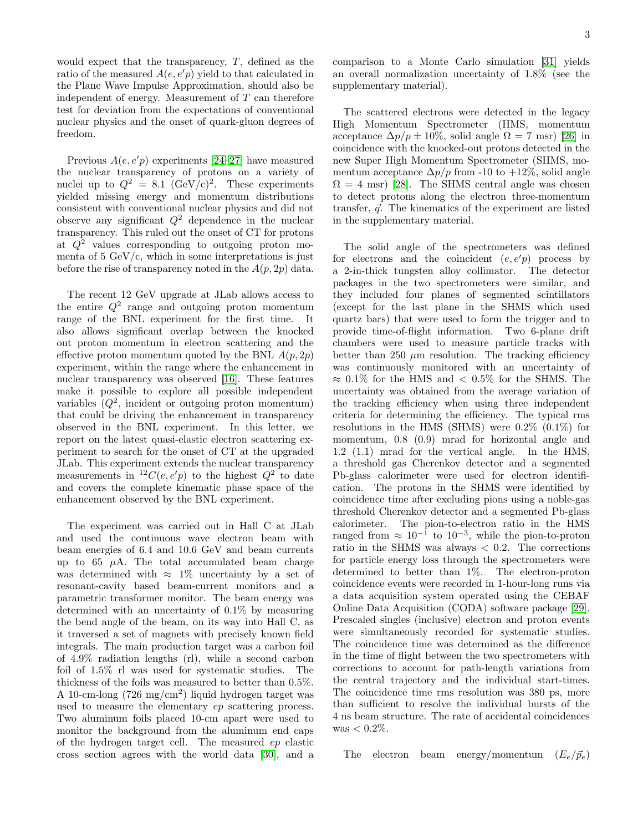would expect that the transparency, T, defined as the ratio of the measured  $A(e, e'p)$  yield to that calculated in the Plane Wave Impulse Approximation, should also be independent of energy. Measurement of  $T$  can therefore test for deviation from the expectations of conventional nuclear physics and the onset of quark-gluon degrees of freedom.

Previous  $A(e, e'p)$  experiments [\[24–](#page-5-22)[27\]](#page-5-23) have measured the nuclear transparency of protons on a variety of nuclei up to  $Q^2 = 8.1 \text{ (GeV/c)}^2$ . These experiments yielded missing energy and momentum distributions consistent with conventional nuclear physics and did not observe any significant  $Q^2$  dependence in the nuclear transparency. This ruled out the onset of CT for protons at  $Q^2$  values corresponding to outgoing proton momenta of  $5 \text{ GeV}/c$ , which in some interpretations is just before the rise of transparency noted in the  $A(p, 2p)$  data.

The recent 12 GeV upgrade at JLab allows access to the entire  $Q^2$  range and outgoing proton momentum range of the BNL experiment for the first time. It also allows significant overlap between the knocked out proton momentum in electron scattering and the effective proton momentum quoted by the BNL  $A(p, 2p)$ experiment, within the range where the enhancement in nuclear transparency was observed [\[16\]](#page-5-15). These features make it possible to explore all possible independent variables  $(Q^2)$ , incident or outgoing proton momentum) that could be driving the enhancement in transparency observed in the BNL experiment. In this letter, we report on the latest quasi-elastic electron scattering experiment to search for the onset of CT at the upgraded JLab. This experiment extends the nuclear transparency measurements in  ${}^{12}C(e, e'p)$  to the highest  $Q^2$  to date and covers the complete kinematic phase space of the enhancement observed by the BNL experiment.

The experiment was carried out in Hall C at JLab and used the continuous wave electron beam with beam energies of 6.4 and 10.6 GeV and beam currents up to 65  $\mu$ A. The total accumulated beam charge was determined with  $\approx 1\%$  uncertainty by a set of resonant-cavity based beam-current monitors and a parametric transformer monitor. The beam energy was determined with an uncertainty of 0.1% by measuring the bend angle of the beam, on its way into Hall C, as it traversed a set of magnets with precisely known field integrals. The main production target was a carbon foil of 4.9% radiation lengths (rl), while a second carbon foil of 1.5% rl was used for systematic studies. The thickness of the foils was measured to better than 0.5%. A 10-cm-long (726 mg/cm<sup>2</sup> ) liquid hydrogen target was used to measure the elementary ep scattering process. Two aluminum foils placed 10-cm apart were used to monitor the background from the aluminum end caps of the hydrogen target cell. The measured ep elastic cross section agrees with the world data [\[30\]](#page-5-24), and a

comparison to a Monte Carlo simulation [\[31\]](#page-5-25) yields an overall normalization uncertainty of 1.8% (see the supplementary material).

The scattered electrons were detected in the legacy High Momentum Spectrometer (HMS, momentum acceptance  $\Delta p/p \pm 10\%$ , solid angle  $\Omega = 7$  msr) [\[26\]](#page-5-26) in coincidence with the knocked-out protons detected in the new Super High Momentum Spectrometer (SHMS, momentum acceptance  $\Delta p/p$  from -10 to +12%, solid angle  $\Omega = 4$  msr) [\[28\]](#page-5-27). The SHMS central angle was chosen to detect protons along the electron three-momentum transfer,  $\vec{q}$ . The kinematics of the experiment are listed in the supplementary material.

The solid angle of the spectrometers was defined for electrons and the coincident  $(e, e'p)$  process by a 2-in-thick tungsten alloy collimator. The detector packages in the two spectrometers were similar, and they included four planes of segmented scintillators (except for the last plane in the SHMS which used quartz bars) that were used to form the trigger and to provide time-of-flight information. Two 6-plane drift chambers were used to measure particle tracks with better than 250  $\mu$ m resolution. The tracking efficiency was continuously monitored with an uncertainty of  $\approx 0.1\%$  for the HMS and  $\lt 0.5\%$  for the SHMS. The uncertainty was obtained from the average variation of the tracking efficiency when using three independent criteria for determining the efficiency. The typical rms resolutions in the HMS (SHMS) were 0.2% (0.1%) for momentum, 0.8 (0.9) mrad for horizontal angle and 1.2 (1.1) mrad for the vertical angle. In the HMS, a threshold gas Cherenkov detector and a segmented Pb-glass calorimeter were used for electron identification. The protons in the SHMS were identified by coincidence time after excluding pions using a noble-gas threshold Cherenkov detector and a segmented Pb-glass calorimeter. The pion-to-electron ratio in the HMS ranged from  $\approx 10^{-1}$  to  $10^{-3}$ , while the pion-to-proton ratio in the SHMS was always  $< 0.2$ . The corrections for particle energy loss through the spectrometers were determined to better than 1%. The electron-proton coincidence events were recorded in 1-hour-long runs via a data acquisition system operated using the CEBAF Online Data Acquisition (CODA) software package [\[29\]](#page-5-28). Prescaled singles (inclusive) electron and proton events were simultaneously recorded for systematic studies. The coincidence time was determined as the difference in the time of flight between the two spectrometers with corrections to account for path-length variations from the central trajectory and the individual start-times. The coincidence time rms resolution was 380 ps, more than sufficient to resolve the individual bursts of the 4 ns beam structure. The rate of accidental coincidences  $was < 0.2\%$ .

The electron beam energy/momentum  $(E_e/\vec{p}_e)$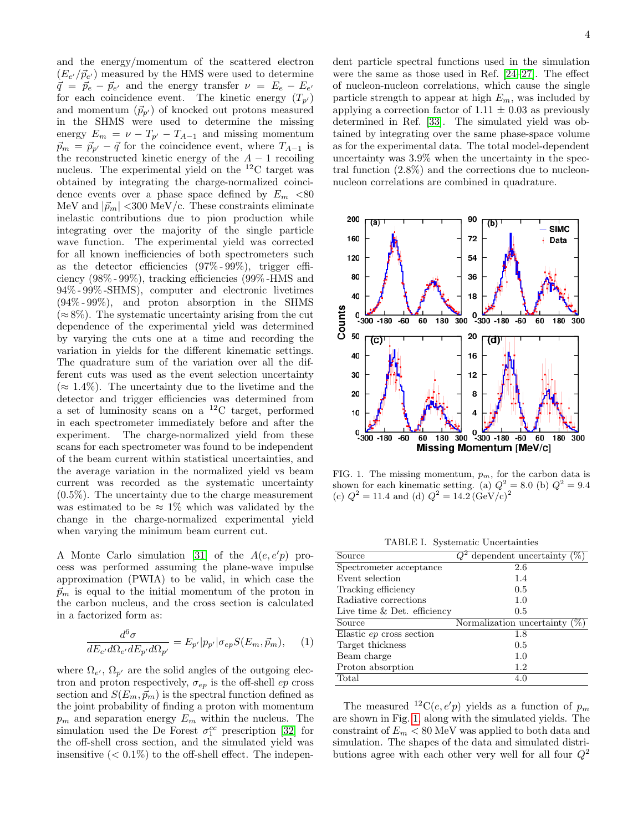and the energy/momentum of the scattered electron  $(E_{e'}/\vec{p}_{e'})$  measured by the HMS were used to determine  $\vec{q} = \vec{p}_e - \vec{p}_{e'}$  and the energy transfer  $\nu = E_e - E_{e'}$ for each coincidence event. The kinetic energy  $(T_{p})$ and momentum  $(\vec{p}_{p'})$  of knocked out protons measured in the SHMS were used to determine the missing energy  $E_m = \nu - T_{p'} - T_{A-1}$  and missing momentum  $\vec{p}_m = \vec{p}_{p'} - \vec{q}$  for the coincidence event, where  $T_{A-1}$  is the reconstructed kinetic energy of the  $A - 1$  recoiling nucleus. The experimental yield on the <sup>12</sup>C target was obtained by integrating the charge-normalized coincidence events over a phase space defined by  $E_m < 80$ MeV and  $|\vec{p}_m|$  <300 MeV/c. These constraints eliminate inelastic contributions due to pion production while integrating over the majority of the single particle wave function. The experimental yield was corrected for all known inefficiencies of both spectrometers such as the detector efficiencies (97% - 99%), trigger efficiency (98% - 99%), tracking efficiencies (99% -HMS and 94% - 99% -SHMS), computer and electronic livetimes  $(94\% - 99\%)$ , and proton absorption in the SHMS  $(\approx 8\%)$ . The systematic uncertainty arising from the cut dependence of the experimental yield was determined by varying the cuts one at a time and recording the variation in yields for the different kinematic settings. The quadrature sum of the variation over all the different cuts was used as the event selection uncertainty  $(\approx 1.4\%)$ . The uncertainty due to the livetime and the detector and trigger efficiencies was determined from a set of luminosity scans on a  ${}^{12}$ C target, performed in each spectrometer immediately before and after the experiment. The charge-normalized yield from these scans for each spectrometer was found to be independent of the beam current within statistical uncertainties, and the average variation in the normalized yield vs beam current was recorded as the systematic uncertainty (0.5%). The uncertainty due to the charge measurement was estimated to be  $\approx 1\%$  which was validated by the change in the charge-normalized experimental yield when varying the minimum beam current cut.

A Monte Carlo simulation [\[31\]](#page-5-25) of the  $A(e, e'p)$  process was performed assuming the plane-wave impulse approximation (PWIA) to be valid, in which case the  $\vec{p}_m$  is equal to the initial momentum of the proton in the carbon nucleus, and the cross section is calculated in a factorized form as:

$$
\frac{d^6\sigma}{dE_{e'}d\Omega_{e'}dE_{p'}d\Omega_{p'}} = E_{p'}|p_{p'}|\sigma_{ep}S(E_m, \vec{p}_m),\qquad(1)
$$

where  $\Omega_{e'}$ ,  $\Omega_{p'}$  are the solid angles of the outgoing electron and proton respectively,  $\sigma_{ep}$  is the off-shell ep cross section and  $S(E_m, \vec{p}_m)$  is the spectral function defined as the joint probability of finding a proton with momentum  $p_m$  and separation energy  $E_m$  within the nucleus. The simulation used the De Forest  $\sigma_1^{cc}$  prescription [\[32\]](#page-5-29) for the off-shell cross section, and the simulated yield was insensitive  $(< 0.1\%)$  to the off-shell effect. The independent particle spectral functions used in the simulation were the same as those used in Ref. [\[24–](#page-5-22)[27\]](#page-5-23). The effect of nucleon-nucleon correlations, which cause the single particle strength to appear at high  $E_m$ , was included by applying a correction factor of  $1.11 \pm 0.03$  as previously determined in Ref. [\[33\]](#page-5-30). The simulated yield was obtained by integrating over the same phase-space volume as for the experimental data. The total model-dependent uncertainty was 3.9% when the uncertainty in the spectral function (2.8%) and the corrections due to nucleonnucleon correlations are combined in quadrature.



<span id="page-3-0"></span>FIG. 1. The missing momentum,  $p_m$ , for the carbon data is shown for each kinematic setting. (a)  $Q^2 = 8.0$  (b)  $Q^2 = 9.4$ (c)  $Q^2 = 11.4$  and (d)  $Q^2 = 14.2 \, (\text{GeV/c})^2$ 

<span id="page-3-1"></span>TABLE I. Systematic Uncertainties

| Source                        | dependent uncertainty $(\%)$ |
|-------------------------------|------------------------------|
| Spectrometer acceptance       | 2.6                          |
| Event selection               | 1.4                          |
| Tracking efficiency           | 0.5                          |
| Radiative corrections         | 1.0                          |
| Live time $&$ Det. efficiency | 0.5                          |
| Source                        | Normalization uncertainty    |
| Elastic ep cross section      | 1.8                          |
| Target thickness              | 0.5                          |
| Beam charge                   | 1.0                          |
| Proton absorption             | 1.2                          |
|                               |                              |

The measured <sup>12</sup>C(e, e'p) yields as a function of  $p_m$ are shown in Fig. [1,](#page-3-0) along with the simulated yields. The constraint of  $E_m < 80$  MeV was applied to both data and simulation. The shapes of the data and simulated distributions agree with each other very well for all four  $Q^2$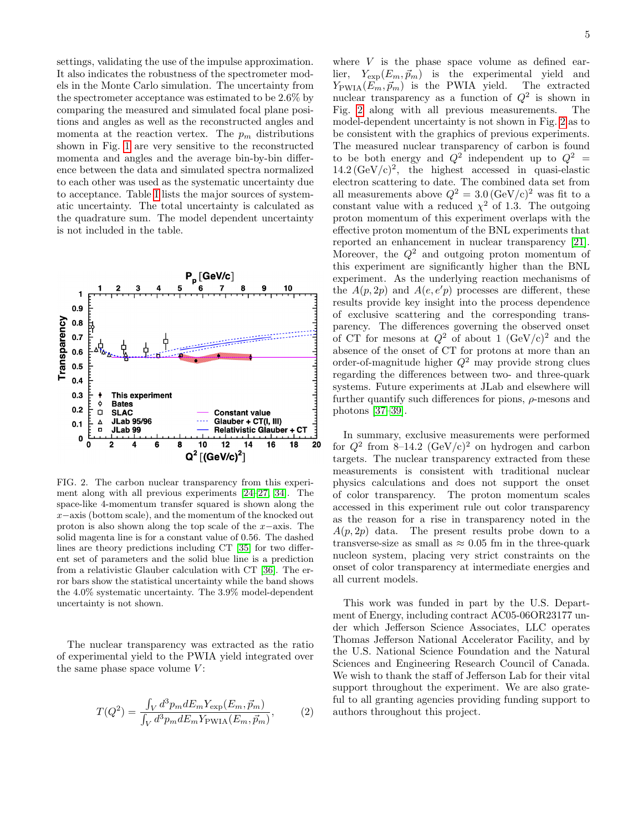settings, validating the use of the impulse approximation. It also indicates the robustness of the spectrometer models in the Monte Carlo simulation. The uncertainty from the spectrometer acceptance was estimated to be 2.6% by comparing the measured and simulated focal plane positions and angles as well as the reconstructed angles and momenta at the reaction vertex. The  $p_m$  distributions shown in Fig. [1](#page-3-0) are very sensitive to the reconstructed momenta and angles and the average bin-by-bin difference between the data and simulated spectra normalized to each other was used as the systematic uncertainty due to acceptance. Table [I](#page-3-1) lists the major sources of systematic uncertainty. The total uncertainty is calculated as the quadrature sum. The model dependent uncertainty is not included in the table.



<span id="page-4-0"></span>FIG. 2. The carbon nuclear transparency from this experiment along with all previous experiments [\[24](#page-5-22)[–27,](#page-5-23) [34\]](#page-5-31). The space-like 4-momentum transfer squared is shown along the x−axis (bottom scale), and the momentum of the knocked out proton is also shown along the top scale of the x−axis. The solid magenta line is for a constant value of 0.56. The dashed lines are theory predictions including CT [\[35\]](#page-5-32) for two different set of parameters and the solid blue line is a prediction from a relativistic Glauber calculation with CT [\[36\]](#page-5-33). The error bars show the statistical uncertainty while the band shows the 4.0% systematic uncertainty. The 3.9% model-dependent uncertainty is not shown.

The nuclear transparency was extracted as the ratio of experimental yield to the PWIA yield integrated over the same phase space volume  $V$ :

$$
T(Q^2) = \frac{\int_V d^3p_m dE_m Y_{\text{exp}}(E_m, \vec{p}_m)}{\int_V d^3p_m dE_m Y_{\text{PWIA}}(E_m, \vec{p}_m)},\tag{2}
$$

where  $V$  is the phase space volume as defined earlier,  $Y_{\text{exp}}(E_m, \vec{p}_m)$  is the experimental yield and  $Y_{\text{PWMA}}(E_m, \vec{p}_m)$  is the PWIA yield. The extracted  $Y_{\text{PWIA}}(E_m, \vec{p}_m)$  is the PWIA yield. nuclear transparency as a function of  $Q^2$  is shown in Fig. [2](#page-4-0) along with all previous measurements. The model-dependent uncertainty is not shown in Fig. [2](#page-4-0) as to be consistent with the graphics of previous experiments. The measured nuclear transparency of carbon is found to be both energy and  $Q^2$  independent up to  $Q^2$  =  $14.2 \, (\text{GeV/c})^2$ , the highest accessed in quasi-elastic electron scattering to date. The combined data set from all measurements above  $Q^2 = 3.0 \, (\text{GeV/c})^2$  was fit to a constant value with a reduced  $\chi^2$  of 1.3. The outgoing proton momentum of this experiment overlaps with the effective proton momentum of the BNL experiments that reported an enhancement in nuclear transparency [\[21\]](#page-5-19). Moreover, the  $Q^2$  and outgoing proton momentum of this experiment are significantly higher than the BNL experiment. As the underlying reaction mechanisms of the  $A(p, 2p)$  and  $A(e, e'p)$  processes are different, these results provide key insight into the process dependence of exclusive scattering and the corresponding transparency. The differences governing the observed onset of CT for mesons at  $Q^2$  of about 1  $(GeV/c)^2$  and the absence of the onset of CT for protons at more than an order-of-magnitude higher  $Q^2$  may provide strong clues regarding the differences between two- and three-quark systems. Future experiments at JLab and elsewhere will further quantify such differences for pions,  $\rho$ -mesons and photons [\[37](#page-5-34)[–39\]](#page-5-35).

In summary, exclusive measurements were performed for  $Q^2$  from 8-14.2  $(GeV/c)^2$  on hydrogen and carbon targets. The nuclear transparency extracted from these measurements is consistent with traditional nuclear physics calculations and does not support the onset of color transparency. The proton momentum scales accessed in this experiment rule out color transparency as the reason for a rise in transparency noted in the  $A(p, 2p)$  data. The present results probe down to a transverse-size as small as  $\approx 0.05$  fm in the three-quark nucleon system, placing very strict constraints on the onset of color transparency at intermediate energies and all current models.

This work was funded in part by the U.S. Department of Energy, including contract AC05-06OR23177 under which Jefferson Science Associates, LLC operates Thomas Jefferson National Accelerator Facility, and by the U.S. National Science Foundation and the Natural Sciences and Engineering Research Council of Canada. We wish to thank the staff of Jefferson Lab for their vital support throughout the experiment. We are also grateful to all granting agencies providing funding support to authors throughout this project.